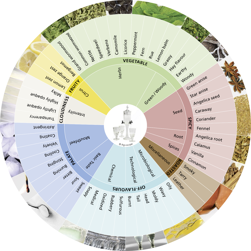